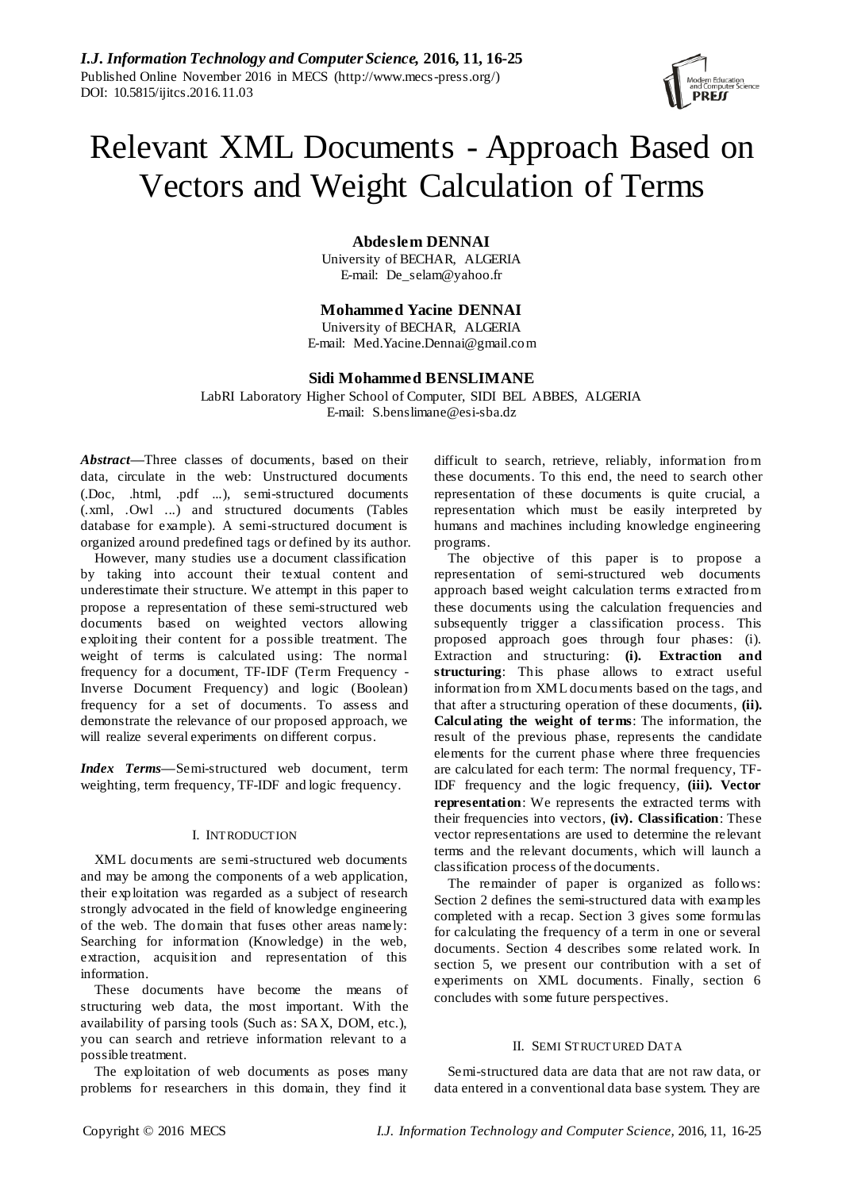

# Relevant XML Documents - Approach Based on Vectors and Weight Calculation of Terms

**Abdeslem DENNAI**

University of BECHAR, ALGERIA E-mail: [De\\_selam@yahoo.fr](mailto:De_selam@yahoo.fr)

**Mohammed Yacine DENNAI**

University of BECHAR, ALGERIA E-mail: Med.Yacine.Dennai@gmail.com

# **Sidi Mohammed BENSLIMANE**

LabRI Laboratory Higher School of Computer, SIDI BEL ABBES, ALGERIA E-mail: S.benslimane@esi-sba.dz

*Abstract—*Three classes of documents, based on their data, circulate in the web: Unstructured documents (.Doc, .html, .pdf ...), semi-structured documents (.xml, .Owl ...) and structured documents (Tables database for example). A semi-structured document is organized around predefined tags or defined by its author.

However, many studies use a document classification by taking into account their textual content and underestimate their structure. We attempt in this paper to propose a representation of these semi-structured web documents based on weighted vectors allowing exploiting their content for a possible treatment. The weight of terms is calculated using: The normal frequency for a document, TF-IDF (Term Frequency - Inverse Document Frequency) and logic (Boolean) frequency for a set of documents. To assess and demonstrate the relevance of our proposed approach, we will realize several experiments on different corpus.

*Index Terms—*Semi-structured web document, term weighting, term frequency, TF-IDF and logic frequency.

# I. INTRODUCTION

XML documents are semi-structured web documents and may be among the components of a web application, their exploitation was regarded as a subject of research strongly advocated in the field of knowledge engineering of the web. The domain that fuses other areas namely: Searching for information (Knowledge) in the web, extraction, acquisition and representation of this information.

These documents have become the means of structuring web data, the most important. With the availability of parsing tools (Such as: SAX, DOM, etc.), you can search and retrieve information relevant to a possible treatment.

The exploitation of web documents as poses many problems for researchers in this domain, they find it difficult to search, retrieve, reliably, information from these documents. To this end, the need to search other representation of these documents is quite crucial, a representation which must be easily interpreted by humans and machines including knowledge engineering programs.

The objective of this paper is to propose a representation of semi-structured web documents approach based weight calculation terms extracted from these documents using the calculation frequencies and subsequently trigger a classification process. This proposed approach goes through four phases: (i). Extraction and structuring: **(i). Extraction and structuring**: This phase allows to extract useful information from XML documents based on the tags, and that after a structuring operation of these documents, **(ii). Calculating the weight of terms**: The information, the result of the previous phase, represents the candidate elements for the current phase where three frequencies are calculated for each term: The normal frequency, TF-IDF frequency and the logic frequency, **(iii). Vector representation**: We represents the extracted terms with their frequencies into vectors, **(iv). Classification**: These vector representations are used to determine the relevant terms and the relevant documents, which will launch a classification process of the documents.

The remainder of paper is organized as follows: Section 2 defines the semi-structured data with examples completed with a recap. Section 3 gives some formulas for calculating the frequency of a term in one or several documents. Section 4 describes some related work. In section 5, we present our contribution with a set of experiments on XML documents. Finally, section 6 concludes with some future perspectives.

# II. SEMI STRUCTURED DATA

Semi-structured data are data that are not raw data, or data entered in a conventional data base system. They are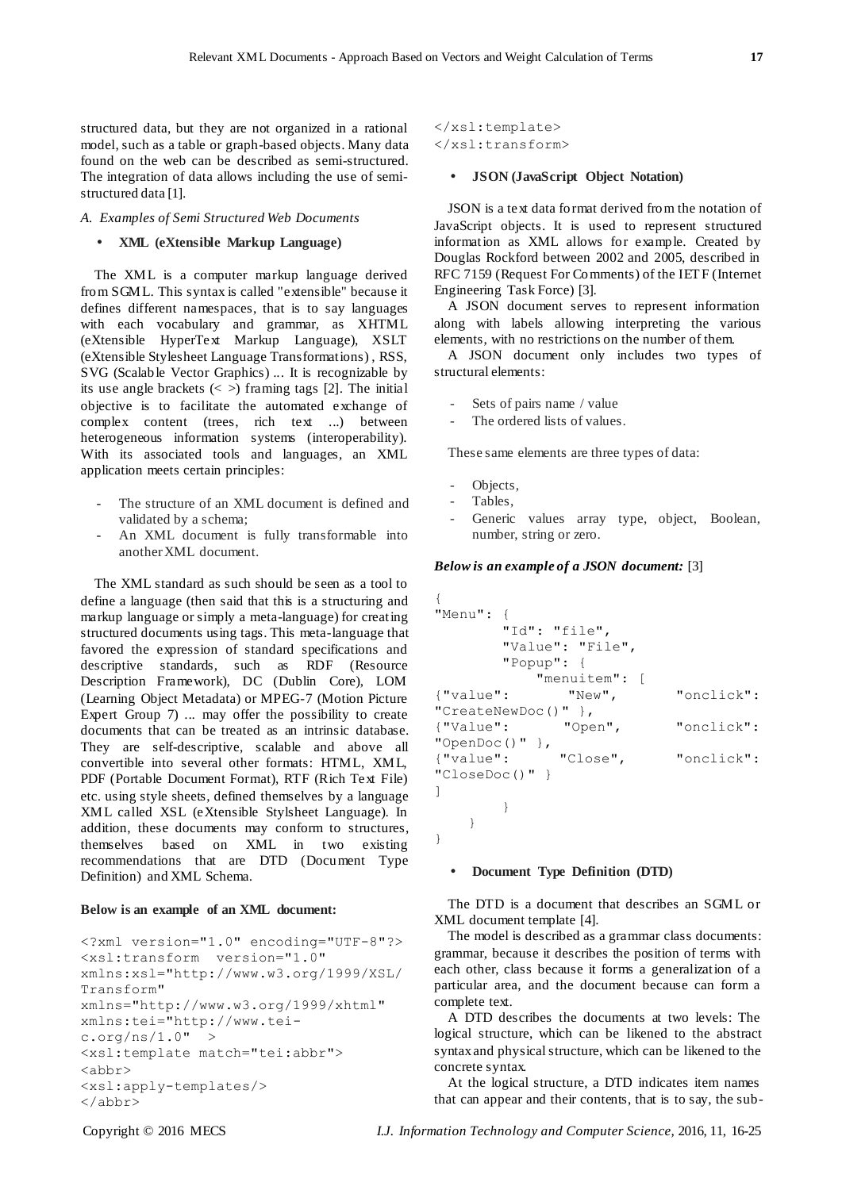structured data, but they are not organized in a rational model, such as a table or graph-based objects. Many data found on the web can be described as semi-structured. The integration of data allows including the use of semistructured data [1].

*A. Examples of Semi Structured Web Documents*

#### **XML (eXtensible Markup Language)**

The XML is a computer markup language derived from SGML. This syntax is called "extensible" because it defines different namespaces, that is to say languages with each vocabulary and grammar, as XHTML (eXtensible HyperText Markup Language), XSLT (eXtensible Stylesheet Language Transformations) , RSS, SVG (Scalable Vector Graphics) ... It is recognizable by its use angle brackets  $\langle \langle \rangle$  framing tags [2]. The initial objective is to facilitate the automated exchange of complex content (trees, rich text ...) between heterogeneous information systems (interoperability). With its associated tools and languages, an XML application meets certain principles:

- The structure of an XML document is defined and validated by a schema;
- An XML document is fully transformable into another XML document.

The XML standard as such should be seen as a tool to define a language (then said that this is a structuring and markup language or simply a meta-language) for creating structured documents using tags. This meta-language that favored the expression of standard specifications and descriptive standards, such as RDF (Resource Description Framework), DC (Dublin Core), LOM (Learning Object Metadata) or MPEG-7 (Motion Picture Expert Group 7) ... may offer the possibility to create documents that can be treated as an intrinsic database. They are self-descriptive, scalable and above all convertible into several other formats: HTML, XML, PDF (Portable Document Format), RTF (Rich Text File) etc. using style sheets, defined themselves by a language XML called XSL (eXtensible Stylsheet Language). In addition, these documents may conform to structures, themselves based on XML in two existing recommendations that are DTD (Document Type Definition) and XML Schema.

## **Below is an example of an XML document:**

```
<?xml version="1.0" encoding="UTF-8"?>
<xsl:transform version="1.0"
xmlns:xsl="http://www.w3.org/1999/XSL/
Transform" 
xmlns="http://www.w3.org/1999/xhtml"
xmlns:tei="http://www.tei-
c.org/ns/1.0" >
<xsl:template match="tei:abbr">
<abbr>
<xsl:apply-templates/>
</abbr>
```

```
</xsl:template>
</xsl:transform>
```
# **JSON (JavaScript Object Notation)**

JSON is a text data format derived from the notation of JavaScript objects. It is used to represent structured information as XML allows for example. Created by Douglas Rockford between 2002 and 2005, described in RFC 7159 (Request For Comments) of the IETF (Internet Engineering Task Force) [3].

A JSON document serves to represent information along with labels allowing interpreting the various elements, with no restrictions on the number of them.

A JSON document only includes two types of structural elements:

- Sets of pairs name / value
- The ordered lists of values.

These same elements are three types of data:

- Objects,
- Tables,
- Generic values array type, object, Boolean, number, string or zero.

## *Below is an example of a JSON document:* [3]

```
{
"Menu": {
         "Id": "file",
         "Value": "File",
         "Popup": {
            "menuitem": [<br>"New",
{"value": "New", "onclick": 
"CreateNewDoc()" },
{"Value": "Open", "onclick": 
"OpenDoc()" },
{"value": "Close", "onclick": 
"CloseDoc()" }
\, \, }
     }
}
```
# **Document Type Definition (DTD)**

The DTD is a document that describes an SGML or XML document template [4].

The model is described as a grammar class documents: grammar, because it describes the position of terms with each other, class because it forms a generalization of a particular area, and the document because can form a complete text.

A DTD describes the documents at two levels: The logical structure, which can be likened to the abstract syntax and physical structure, which can be likened to the concrete syntax.

At the logical structure, a DTD indicates item names that can appear and their contents, that is to say, the sub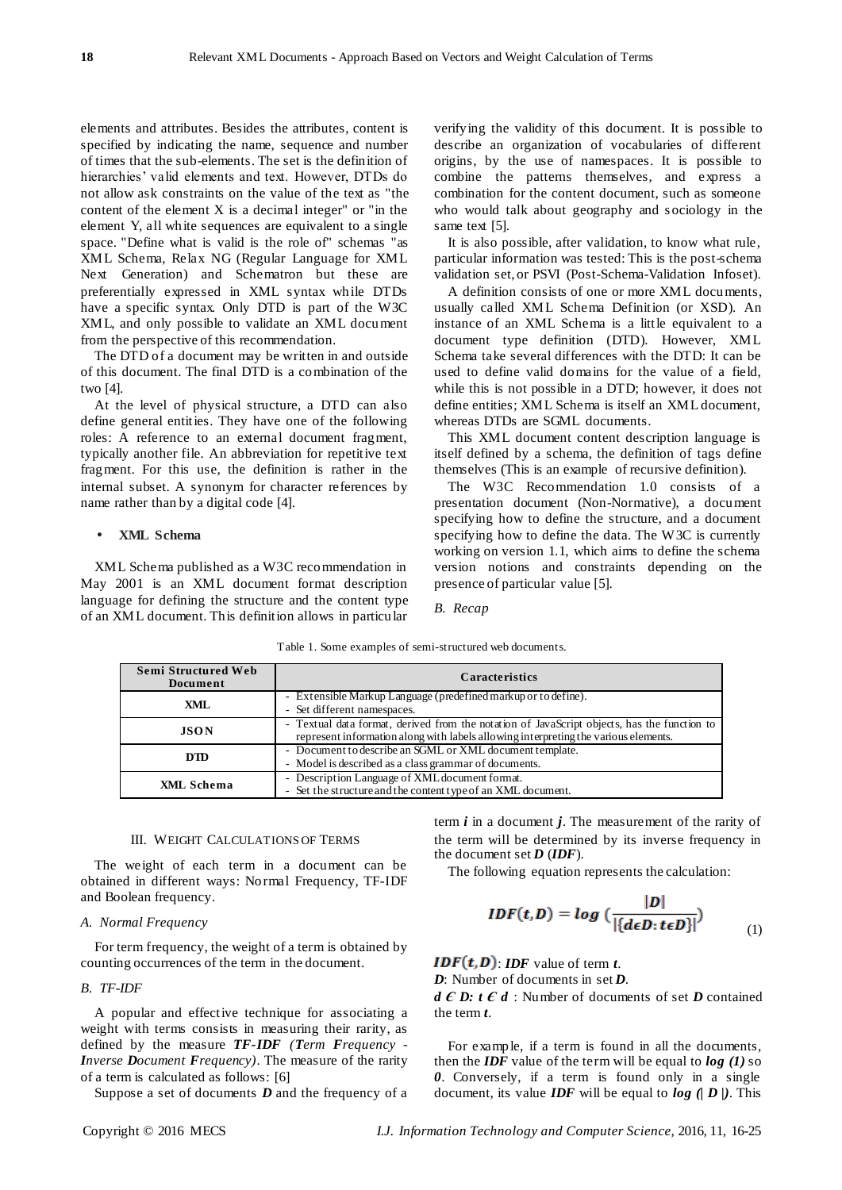elements and attributes. Besides the attributes, content is specified by indicating the name, sequence and number of times that the sub-elements. The set is the definition of hierarchies' valid elements and text. However, DTDs do not allow ask constraints on the value of the text as "the content of the element X is a decimal integer" or "in the element Y, all white sequences are equivalent to a single space. "Define what is valid is the role of" schemas "as XML Schema, Relax NG (Regular Language for XML Next Generation) and Schematron but these are preferentially expressed in XML syntax while DTDs have a specific syntax. Only DTD is part of the W3C XML, and only possible to validate an XML document from the perspective of this recommendation.

The DTD of a document may be written in and outside of this document. The final DTD is a combination of the two [4].

At the level of physical structure, a DTD can also define general entities. They have one of the following roles: A reference to an external document fragment, typically another file. An abbreviation for repetitive text fragment. For this use, the definition is rather in the internal subset. A synonym for character references by name rather than by a digital code [4].

# **XML Schema**

XML Schema published as a W3C recommendation in May 2001 is an XML document format description language for defining the structure and the content type of an XML document. This definition allows in particular

verifying the validity of this document. It is possible to describe an organization of vocabularies of different origins, by the use of namespaces. It is possible to combine the patterns themselves, and express a combination for the content document, such as someone who would talk about geography and sociology in the same text [5].

It is also possible, after validation, to know what rule, particular information was tested: This is the post-schema validation set, or PSVI (Post-Schema-Validation Infoset).

A definition consists of one or more XML documents, usually called XML Schema Definition (or XSD). An instance of an XML Schema is a little equivalent to a document type definition (DTD). However, XML Schema take several differences with the DTD: It can be used to define valid domains for the value of a field, while this is not possible in a DTD; however, it does not define entities; XML Schema is itself an XML document, whereas DTDs are SGML documents.

This XML document content description language is itself defined by a schema, the definition of tags define themselves (This is an example of recursive definition).

The W3C Recommendation 1.0 consists of a presentation document (Non-Normative), a document specifying how to define the structure, and a document specifying how to define the data. The W3C is currently working on version 1.1, which aims to define the schema version notions and constraints depending on the presence of particular value [5].

*B. Recap*

**Semi Structured Web Document Caracteristics XML** - Extensible Markup Language (predefined markup or to define). Set different namespaces. **JSON** - Textual data format, derived from the notation of JavaScript objects, has the function to represent information along with labels allowing interpreting the various elements. **DTD** - Document to describe an SGML or XML document template. Model is described as a class grammar of documents **XML Schema** - Description Language of XML document format. Set the structure and the content type of an XML document.

Table 1. Some examples of semi-structured web documents.

## III. WEIGHT CALCULATIONS OF TERMS

The weight of each term in a document can be obtained in different ways: Normal Frequency, TF-IDF and Boolean frequency.

#### *A. Normal Frequency*

For term frequency, the weight of a term is obtained by counting occurrences of the term in the document.

## *B. TF-IDF*

A popular and effective technique for associating a weight with terms consists in measuring their rarity, as defined by the measure *TF-IDF (Term Frequency - Inverse Document Frequency)*. The measure of the rarity of a term is calculated as follows: [6]

Suppose a set of documents *D* and the frequency of a

 $IDF(t, D) = log(\frac{|D|}{|\{d\epsilon D: t\epsilon D\}|})$  (1)

The following equation represents the calculation:

term *i* in a document *j*. The measurement of the rarity of the term will be determined by its inverse frequency in

 $$ 

the document set  $D$  (*IDF*).

*D*: Number of documents in set *D*.

*d E D: t E d* : Number of documents of set *D* contained the term *t*.

For example, if a term is found in all the documents, then the *IDF* value of the term will be equal to *log (1)* so *0*. Conversely, if a term is found only in a single document, its value *IDF* will be equal to *log (| D |)*. This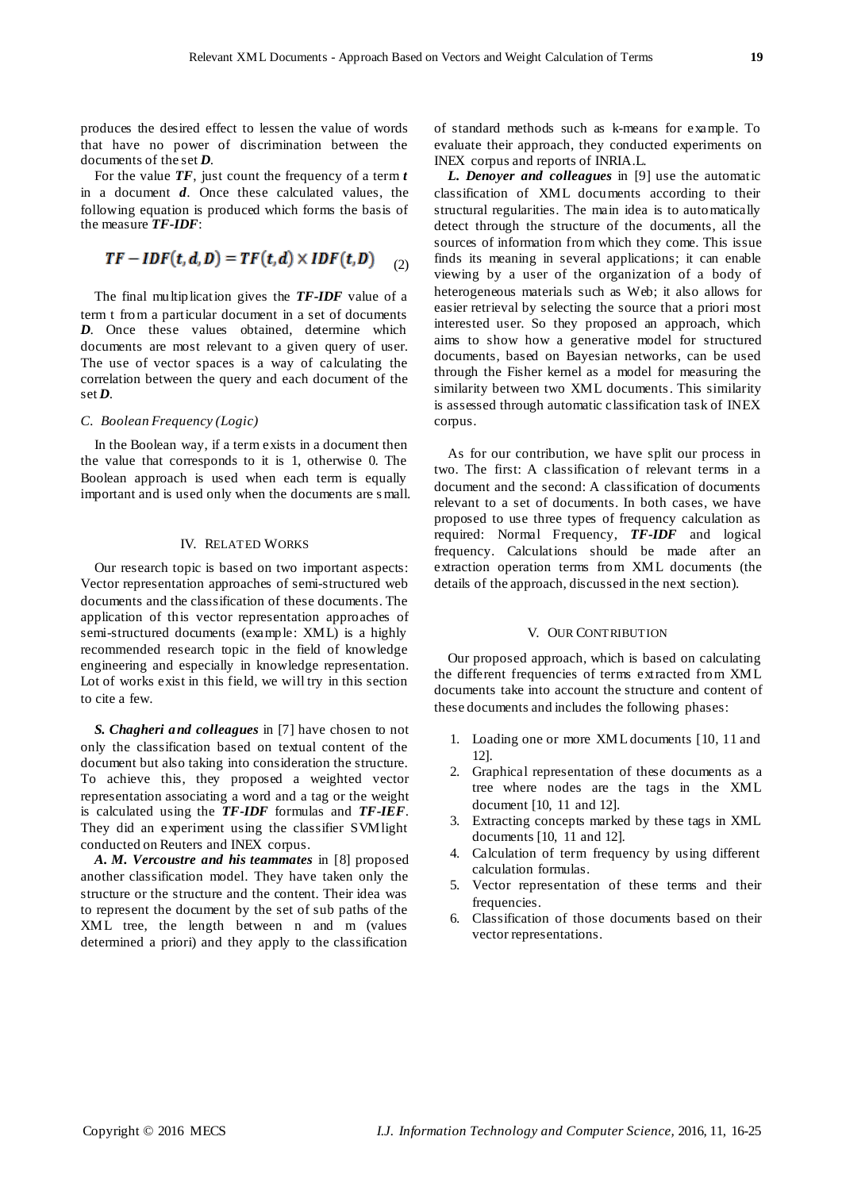produces the desired effect to lessen the value of words that have no power of discrimination between the documents of the set *D*.

For the value *TF*, just count the frequency of a term *t* in a document *d*. Once these calculated values, the following equation is produced which forms the basis of the measure *TF-IDF*:

$$
TF-IDF(t, d, D) = TF(t, d) \times IDF(t, D) \quad (2)
$$

The final multiplication gives the *TF-IDF* value of a term t from a particular document in a set of documents *D*. Once these values obtained, determine which documents are most relevant to a given query of user. The use of vector spaces is a way of calculating the correlation between the query and each document of the set *D*.

# *C. Boolean Frequency (Logic)*

In the Boolean way, if a term exists in a document then the value that corresponds to it is 1, otherwise 0. The Boolean approach is used when each term is equally important and is used only when the documents are s mall.

#### IV. RELATED WORKS

Our research topic is based on two important aspects: Vector representation approaches of semi-structured web documents and the classification of these documents. The application of this vector representation approaches of semi-structured documents (example: XML) is a highly recommended research topic in the field of knowledge engineering and especially in knowledge representation. Lot of works exist in this field, we will try in this section to cite a few.

*S. Chagheri and colleagues* in [7] have chosen to not only the classification based on textual content of the document but also taking into consideration the structure. To achieve this, they proposed a weighted vector representation associating a word and a tag or the weight is calculated using the *TF-IDF* formulas and *TF-IEF*. They did an experiment using the classifier SVMlight conducted on Reuters and INEX corpus.

*A. M. Vercoustre and his teammates* in [8] proposed another classification model. They have taken only the structure or the structure and the content. Their idea was to represent the document by the set of sub paths of the XML tree, the length between n and m (values determined a priori) and they apply to the classification

of standard methods such as k-means for example. To evaluate their approach, they conducted experiments on INEX corpus and reports of INRIA.L.

*L. Denoyer and colleagues* in [9] use the automatic classification of XML documents according to their structural regularities. The main idea is to automatically detect through the structure of the documents, all the sources of information from which they come. This issue finds its meaning in several applications; it can enable viewing by a user of the organization of a body of heterogeneous materials such as Web; it also allows for easier retrieval by selecting the source that a priori most interested user. So they proposed an approach, which aims to show how a generative model for structured documents, based on Bayesian networks, can be used through the Fisher kernel as a model for measuring the similarity between two XML documents. This similarity is assessed through automatic classification task of INEX corpus.

As for our contribution, we have split our process in two. The first: A classification of relevant terms in a document and the second: A classification of documents relevant to a set of documents. In both cases, we have proposed to use three types of frequency calculation as required: Normal Frequency, *TF-IDF* and logical frequency. Calculations should be made after an extraction operation terms from XML documents (the details of the approach, discussed in the next section).

#### V. OUR CONTRIBUTION

Our proposed approach, which is based on calculating the different frequencies of terms extracted from XML documents take into account the structure and content of these documents and includes the following phases:

- 1. Loading one or more XML documents [10, 11 and 12].
- 2. Graphical representation of these documents as a tree where nodes are the tags in the XML document [10, 11 and 12].
- 3. Extracting concepts marked by these tags in XML documents [10, 11 and 12].
- 4. Calculation of term frequency by using different calculation formulas.
- 5. Vector representation of these terms and their frequencies.
- 6. Classification of those documents based on their vector representations.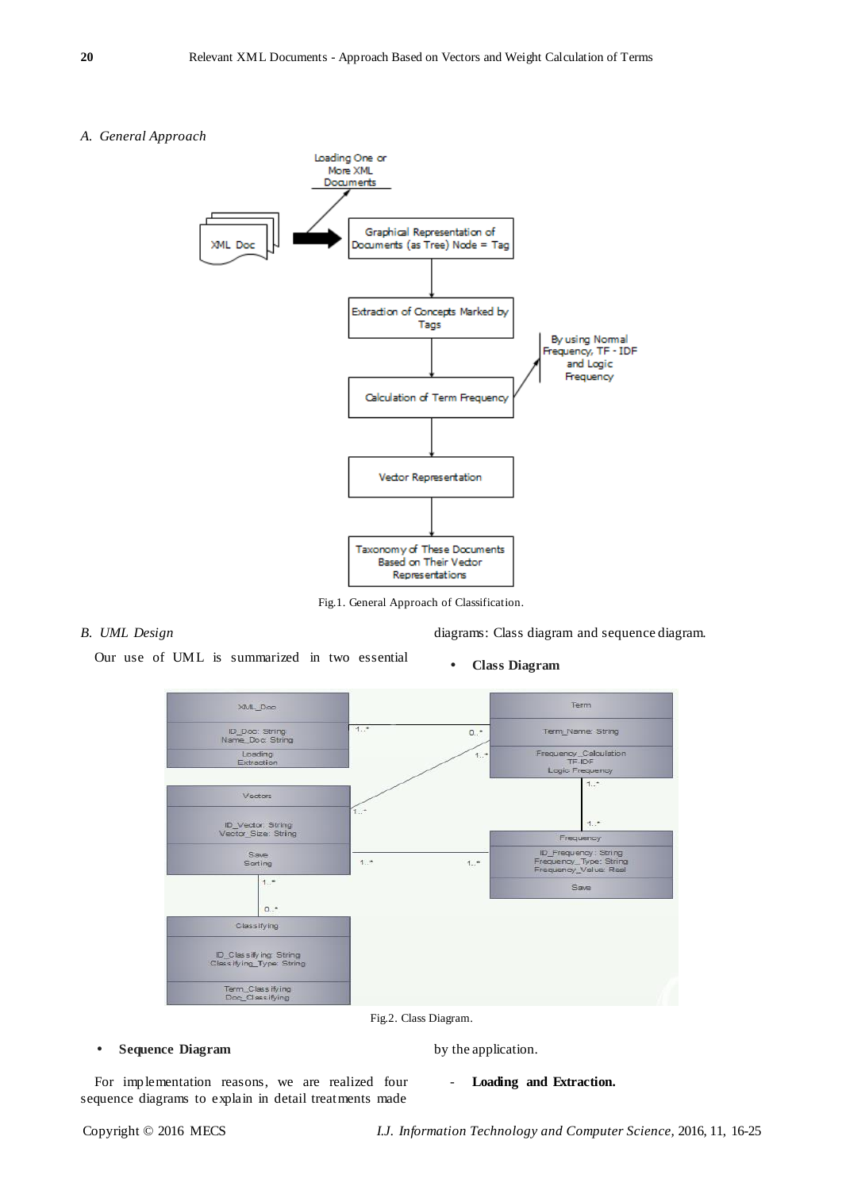# *A. General Approach*



Fig.1. General Approach of Classification.

# *B. UML Design*

diagrams: Class diagram and sequence diagram.

Our use of UML is summarized in two essential

**Class Diagram**



Fig.2. Class Diagram.

**Sequence Diagram**

by the application.

For implementation reasons, we are realized four sequence diagrams to explain in detail treatments made

- **Loading and Extraction.**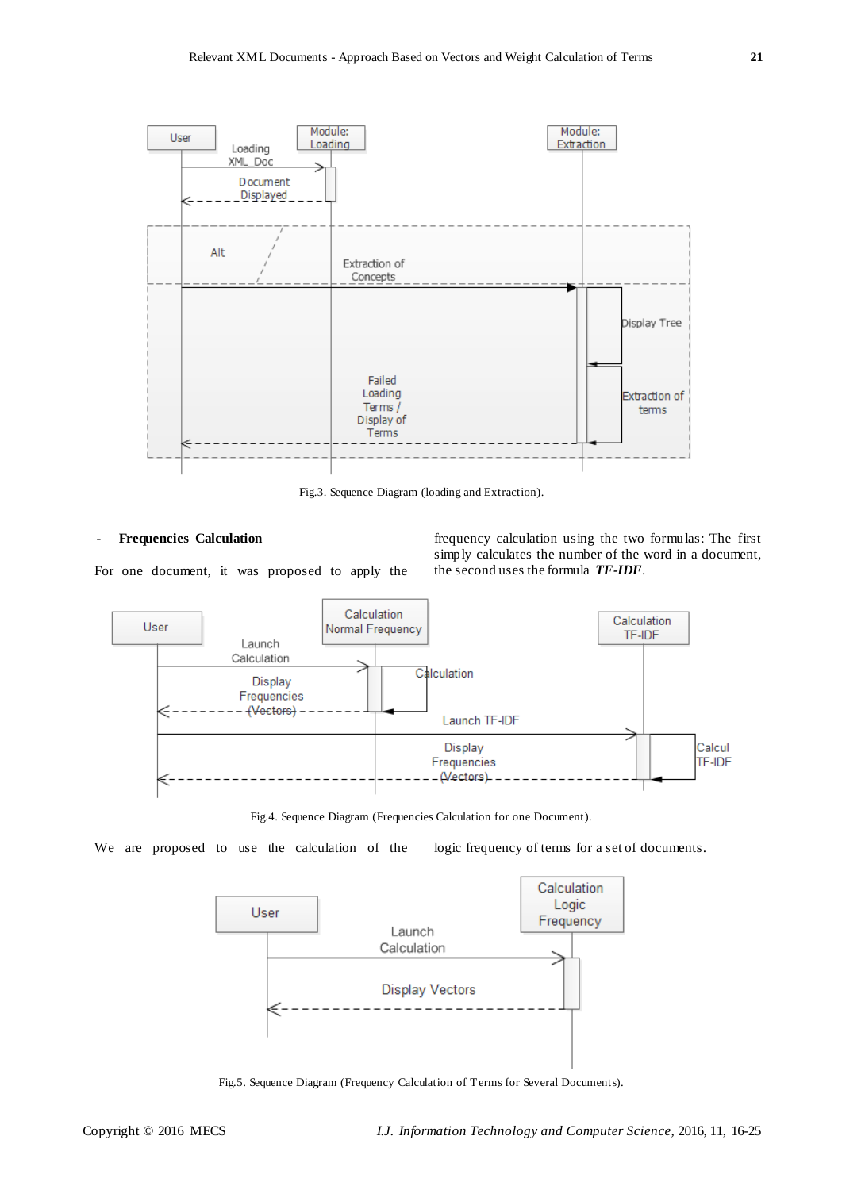

Fig.3. Sequence Diagram (loading and Extraction).

#### - **Frequencies Calculation**

For one document, it was proposed to apply the

frequency calculation using the two formulas: The first simply calculates the number of the word in a document, the second uses the formula *TF-IDF*.



Fig.4. Sequence Diagram (Frequencies Calculation for one Document).

We are proposed to use the calculation of the logic frequency of terms for a set of documents.



Fig.5. Sequence Diagram (Frequency Calculation of Terms for Several Documents).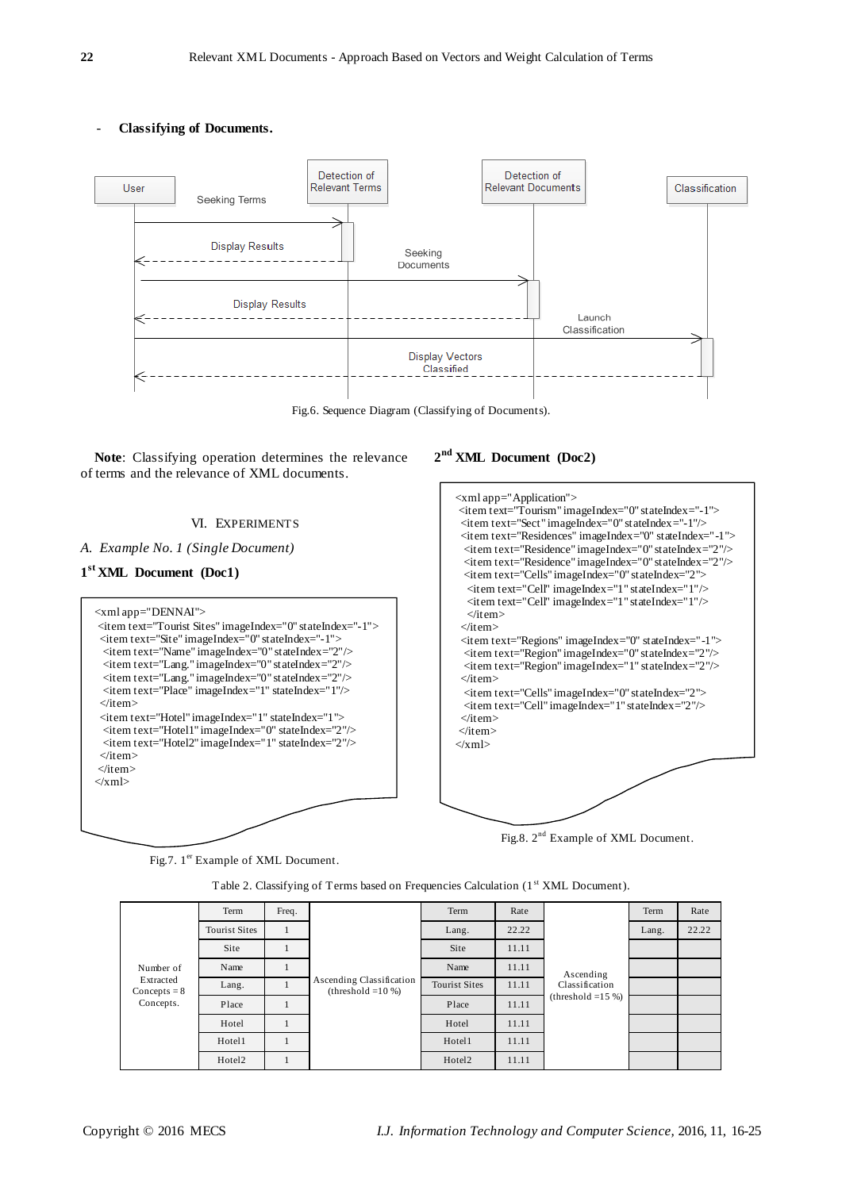- **Classifying of Documents.**



Fig.6. Sequence Diagram (Classifying of Documents).

**Note**: Classifying operation determines the relevance of terms and the relevance of XML documents.

# VI. EXPERIMENTS

*A. Example No. 1 (Single Document)*

# **1 st XML Document (Doc1)**



**2 nd XML Document (Doc2)**

| $\langle \mathbf{x}$ ml app="Application">                     |
|----------------------------------------------------------------|
| $\le$ item text="Tourism" imageIndex="0" stateIndex="-1">      |
| <item imageindex="0" stateindex="-1" text="Sect"></item>       |
| <item imageindex="0" stateindex="-1" text="Residences"></item> |
| <item imageindex="0" stateindex="2" text="Residence"></item>   |
| <item imageindex="0" stateindex="2" text="Residence"></item>   |
| <item imageindex="0" stateindex="2" text="Cells"></item>       |
| <item imageindex="1" stateindex="1" text="Cell"></item>        |
| <item imageindex="1" stateindex="1" text="Cell"></item>        |
| $\langle$ item $\rangle$                                       |
| $\langle$ item $\rangle$                                       |
| <item imageindex="0" stateindex="-1" text="Regions"></item>    |
| <item imageindex="0" stateindex="2" text="Region"></item>      |
| $\le$ item text="Region" imageIndex="1" stateIndex="2"/>       |
| $\langle$ item $\rangle$                                       |
| <item imageindex="0" stateindex="2" text="Cells"></item>       |
| <item imageindex="1" stateindex="2" text="Cell"></item>        |
| $\langle$ item $\rangle$                                       |
| $\langle$ item>                                                |
| $\langle xm  \rangle$                                          |
|                                                                |
|                                                                |
|                                                                |
|                                                                |
|                                                                |
|                                                                |

Fig.8.  $2^{nd}$  Example of XML Document.

Fig.7. 1<sup>er</sup> Example of XML Document.

Table 2. Classifying of Terms based on Frequencies Calculation (1st XML Document).

| Number of<br>Extracted<br>Concepts $= 8$<br>Concepts. | Term                 | Freq. | Ascending Classification<br>(threshold $=10\%$ ) | Term                 | Rate  | Ascending<br>Classification<br>(threshold $=15\%$ ) | Term  | Rate  |
|-------------------------------------------------------|----------------------|-------|--------------------------------------------------|----------------------|-------|-----------------------------------------------------|-------|-------|
|                                                       | <b>Tourist Sites</b> |       |                                                  | Lang.                | 22.22 |                                                     | Lang. | 22.22 |
|                                                       | Site                 |       |                                                  | Site                 | 11.11 |                                                     |       |       |
|                                                       | Name                 |       |                                                  | Name                 | 11.11 |                                                     |       |       |
|                                                       | Lang.                |       |                                                  | <b>Tourist Sites</b> | 11.11 |                                                     |       |       |
|                                                       | Place                |       |                                                  | Place                | 11.11 |                                                     |       |       |
|                                                       | Hotel                |       |                                                  | Hotel                | 11.11 |                                                     |       |       |
|                                                       | Hotel1               |       |                                                  | Hotel1               | 11.11 |                                                     |       |       |
|                                                       | Hotel <sub>2</sub>   |       |                                                  | Hotel <sub>2</sub>   | 11.11 |                                                     |       |       |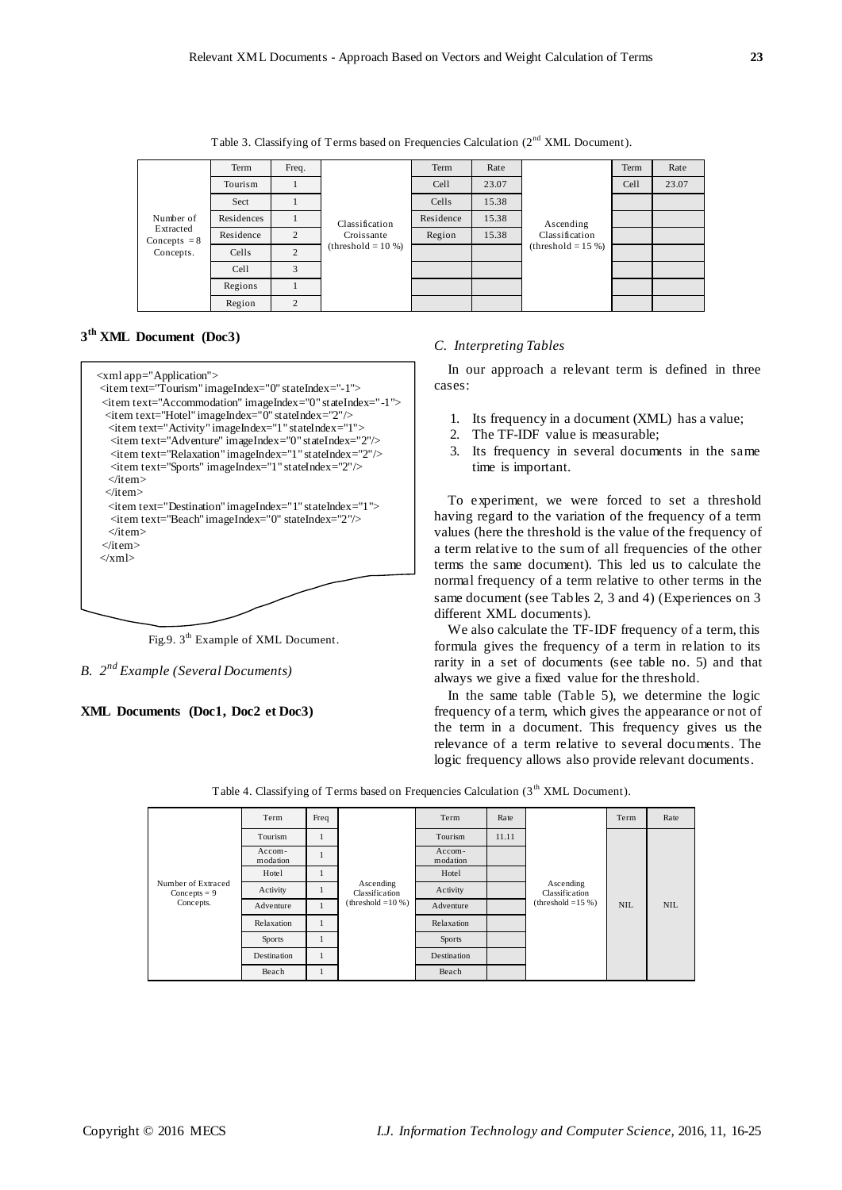Table 3. Classifying of Terms based on Frequencies Calculation (2<sup>nd</sup> XML Document).







Fig.9. 3<sup>th</sup> Example of XML Document.

*B. 2 nd Example (Several Documents)*

**XML Documents (Doc1, Doc2 et Doc3)**

#### *C. Interpreting Tables*

In our approach a relevant term is defined in three cases:

- 1. Its frequency in a document (XML) has a value;
- 2. The TF-IDF value is measurable;
- 3. Its frequency in several documents in the same time is important.

To experiment, we were forced to set a threshold having regard to the variation of the frequency of a term values (here the threshold is the value of the frequency of a term relative to the sum of all frequencies of the other terms the same document). This led us to calculate the normal frequency of a term relative to other terms in the same document (see Tables 2, 3 and 4) (Experiences on 3 different XML documents).

We also calculate the TF-IDF frequency of a term, this formula gives the frequency of a term in relation to its rarity in a set of documents (see table no. 5) and that always we give a fixed value for the threshold.

In the same table (Table 5), we determine the logic frequency of a term, which gives the appearance or not of the term in a document. This frequency gives us the relevance of a term relative to several documents. The logic frequency allows also provide relevant documents.

| Number of Extraced<br>Concepts = $9$<br>Concepts. | Term               | Freq | Ascending<br>Classification<br>$(threshold = 10\%)$ | Term               | Rate  | Ascending<br>Classification<br>$(threshold = 15%)$ | Term       | Rate       |
|---------------------------------------------------|--------------------|------|-----------------------------------------------------|--------------------|-------|----------------------------------------------------|------------|------------|
|                                                   | Tourism            |      |                                                     | Tourism            | 11.11 |                                                    | <b>NIL</b> | <b>NIL</b> |
|                                                   | Accom-<br>modation |      |                                                     | Accom-<br>modation |       |                                                    |            |            |
|                                                   | Hotel              |      |                                                     | Hotel              |       |                                                    |            |            |
|                                                   | Activity           |      |                                                     | Activity           |       |                                                    |            |            |
|                                                   | Adventure          |      |                                                     | Adventure          |       |                                                    |            |            |
|                                                   | Relaxation         |      |                                                     | Relaxation         |       |                                                    |            |            |
|                                                   | <b>Sports</b>      |      |                                                     | <b>Sports</b>      |       |                                                    |            |            |
|                                                   | Destination        |      |                                                     | Destination        |       |                                                    |            |            |
|                                                   | Beach              |      |                                                     | Beach              |       |                                                    |            |            |

Table 4. Classifying of Terms based on Frequencies Calculation (3<sup>th</sup> XML Document).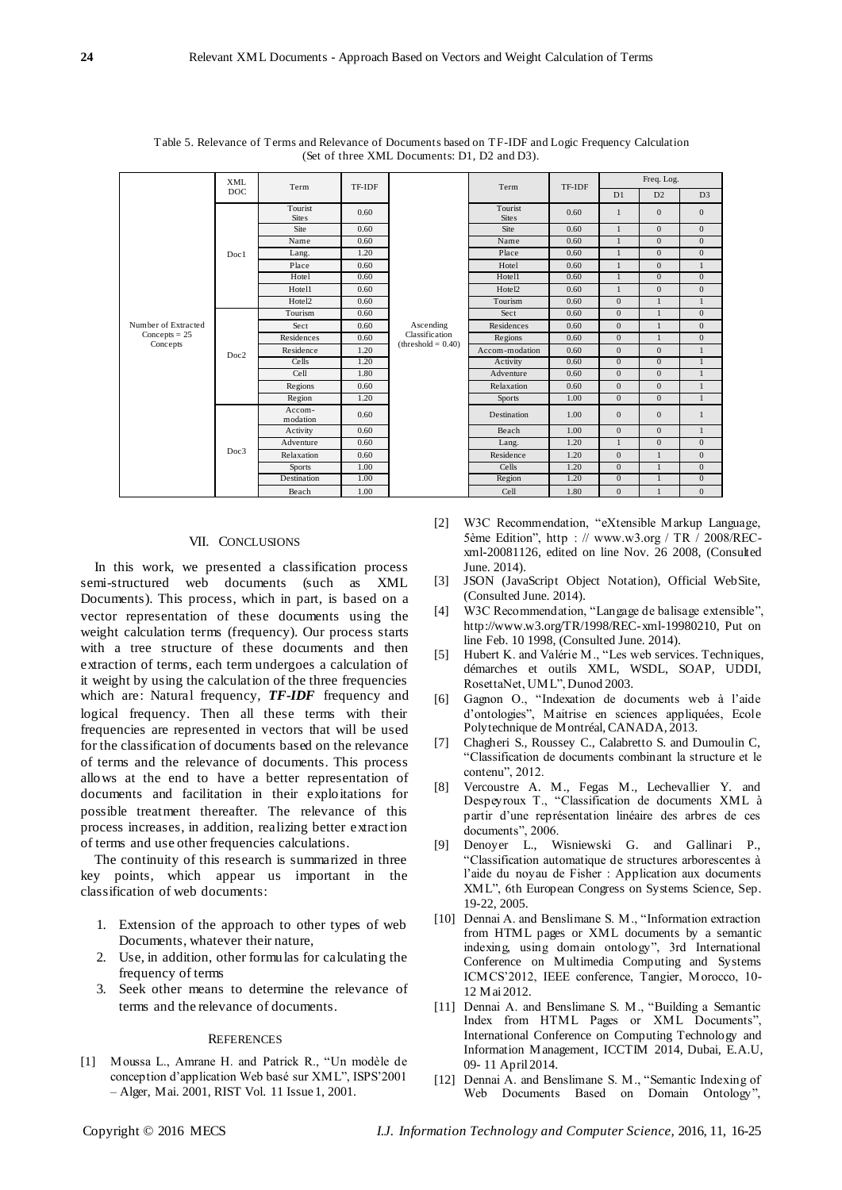|                     | <b>XML</b><br><b>DOC</b> | Term                    | TF-IDF |                                                     | Term                    | TF-IDF | Freq. Log.     |                |                |
|---------------------|--------------------------|-------------------------|--------|-----------------------------------------------------|-------------------------|--------|----------------|----------------|----------------|
|                     |                          |                         |        |                                                     |                         |        | D1             | D2             | D <sub>3</sub> |
|                     | Doc1                     | Tourist<br><b>Sites</b> | 0.60   |                                                     | Tourist<br><b>Sites</b> | 0.60   | $\mathbf{1}$   | $\mathbf{0}$   | $\overline{0}$ |
|                     |                          | Site                    | 0.60   |                                                     | Site                    | 0.60   | $\mathbf{1}$   | $\overline{0}$ | $\overline{0}$ |
|                     |                          | Name                    | 0.60   |                                                     | Name                    | 0.60   | $\mathbf{1}$   | $\mathbf{0}$   | $\overline{0}$ |
|                     |                          | Lang.                   | 1.20   | Ascending<br>Classification<br>$(threshold = 0.40)$ | Place                   | 0.60   | $\mathbf{1}$   | $\mathbf{0}$   | $\mathbf{0}$   |
|                     |                          | Place                   | 0.60   |                                                     | Hotel                   | 0.60   | $\mathbf{1}$   | $\mathbf{0}$   | $\mathbf{1}$   |
|                     |                          | Hotel                   | 0.60   |                                                     | Hotel1                  | 0.60   | $\mathbf{1}$   | $\mathbf{0}$   | $\mathbf{0}$   |
|                     |                          | Hotel1                  | 0.60   |                                                     | Hotel <sub>2</sub>      | 0.60   | $\mathbf{1}$   | $\mathbf{0}$   | $\overline{0}$ |
|                     |                          | Hotel <sub>2</sub>      | 0.60   |                                                     | Tourism                 | 0.60   | $\mathbf{0}$   | $\mathbf{1}$   | $\mathbf{1}$   |
|                     | Doc2                     | Tourism                 | 0.60   |                                                     | Sect                    | 0.60   | $\mathbf{0}$   | $\mathbf{1}$   | $\overline{0}$ |
| Number of Extracted |                          | Sect                    | 0.60   |                                                     | Residences              | 0.60   | $\mathbf{0}$   | $\mathbf{1}$   | $\overline{0}$ |
| $Concepts = 25$     |                          | Residences              | 0.60   |                                                     | Regions                 | 0.60   | $\Omega$       | $\mathbf{1}$   | $\mathbf{0}$   |
| Concepts            |                          | Residence               | 1.20   |                                                     | Accom-modation          | 0.60   | $\mathbf{0}$   | $\mathbf{0}$   | $\mathbf{1}$   |
|                     |                          | Cells                   | 1.20   |                                                     | Activity                | 0.60   | $\Omega$       | $\mathbf{0}$   | $\mathbf{1}$   |
|                     |                          | Cell                    | 1.80   |                                                     | Adventure               | 0.60   | $\Omega$       | $\Omega$       | $\mathbf{1}$   |
|                     |                          | Regions                 | 0.60   |                                                     | Relaxation              | 0.60   | $\mathbf{0}$   | $\mathbf{0}$   | $\mathbf{1}$   |
|                     |                          | Region                  | 1.20   |                                                     | <b>Sports</b>           | 1.00   | $\overline{0}$ | $\mathbf{0}$   | 1              |
|                     | Doc3                     | Accom-<br>modation      | 0.60   |                                                     | Destination             | 1.00   | $\Omega$       | $\mathbf{0}$   | 1              |
|                     |                          | Activity                | 0.60   |                                                     | Beach                   | 1.00   | $\mathbf{0}$   | $\mathbf{0}$   | $\mathbf{1}$   |
|                     |                          | Adventure               | 0.60   |                                                     | Lang.                   | 1.20   | $\mathbf{1}$   | $\mathbf{0}$   | $\overline{0}$ |
|                     |                          | Relaxation              | 0.60   |                                                     | Residence               | 1.20   | $\mathbf{0}$   | $\mathbf{1}$   | $\overline{0}$ |
|                     |                          | <b>Sports</b>           | 1.00   |                                                     | Cells                   | 1.20   | $\mathbf{0}$   | $\overline{1}$ | $\overline{0}$ |
|                     |                          | Destination             | 1.00   |                                                     | Region                  | 1.20   | $\mathbf{0}$   | $\mathbf{1}$   | $\overline{0}$ |
|                     |                          | Beach                   | 1.00   |                                                     | Cell                    | 1.80   | $\mathbf{0}$   | $\mathbf{1}$   | $\overline{0}$ |

Table 5. Relevance of Terms and Relevance of Documents based on TF-IDF and Logic Frequency Calculation (Set of three XML Documents: D1, D2 and D3).

#### VII. CONCLUSIONS

In this work, we presented a classification process semi-structured web documents (such as XML Documents). This process, which in part, is based on a vector representation of these documents using the weight calculation terms (frequency). Our process starts with a tree structure of these documents and then extraction of terms, each term undergoes a calculation of it weight by using the calculation of the three frequencies which are: Natural frequency, *TF-IDF* frequency and logical frequency. Then all these terms with their frequencies are represented in vectors that will be used for the classification of documents based on the relevance of terms and the relevance of documents. This process allows at the end to have a better representation of documents and facilitation in their exploitations for possible treatment thereafter. The relevance of this process increases, in addition, realizing better extraction of terms and use other frequencies calculations.

The continuity of this research is summarized in three key points, which appear us important in the classification of web documents:

- 1. Extension of the approach to other types of web Documents, whatever their nature,
- 2. Use, in addition, other formulas for calculating the frequency of terms
- 3. Seek other means to determine the relevance of terms and the relevance of documents.

#### **REFERENCES**

[1] Moussa L., Amrane H. and Patrick R., "Un modèle de conception d"application Web basé sur XML", ISPS"2001 – Alger, Mai. 2001, RIST Vol. 11 Issue 1, 2001.

- [2] W3C Recommendation, "eXtensible Markup Language, 5ème Edition", http : // www.w3.org / TR / 2008/RECxml-20081126, edited on line Nov. 26 2008, (Consulted June. 2014).
- [3] JSON (JavaScript Object Notation), Official WebSite, (Consulted June. 2014).
- [4] W3C Recommendation, "Langage de balisage extensible", [http://www.w3.org/TR/1998/REC-xml-19980210,](http://www.w3.org/TR/1998/REC-xml-19980210) Put on line Feb. 10 1998, (Consulted June. 2014).
- [5] Hubert K. and Valérie M., "Les web services. Techniques, démarches et outils XML, WSDL, SOAP, UDDI, RosettaNet, UML", Dunod [2003.](http://fr.wikipedia.org/wiki/2003)
- [6] Gagnon O., "Indexation de documents web à l"aide d"ontologies", Maitrise en sciences appliquées, Ecole Polytechnique de Montréal, CANADA, 2013.
- [7] Chagheri S., Roussey C., Calabretto S. and Dumoulin C, "Classification de documents combinant la structure et le contenu", 2012.
- [8] Vercoustre A. M., Fegas M., Lechevallier Y. and Despeyroux T., "Classification de documents XML à partir d"une représentation linéaire des arbres de ces documents", 2006.
- [9] Denoyer L., Wisniewski G. and Gallinari P., "Classification automatique de structures arborescentes à l"aide du noyau de Fisher : Application aux documents XML", 6th European Congress on Systems Science, Sep. 19-22, 2005.
- [10] Dennai A. and Benslimane S. M., "Information extraction from HTML pages or XML documents by a semantic indexing, using domain ontology", 3rd International Conference on Multimedia Computing and Systems ICMCS"2012, IEEE conference, Tangier, Morocco, 10- 12 Mai 2012.
- [11] Dennai A. and Benslimane S. M., "Building a Semantic Index from HTML Pages or XML Documents", International Conference on Computing Technology and Information Management, ICCTIM 2014, Dubai, E.A.U, 09- 11 April 2014.
- [12] Dennai A. and Benslimane S. M., "Semantic Indexing of Web Documents Based on Domain Ontology",